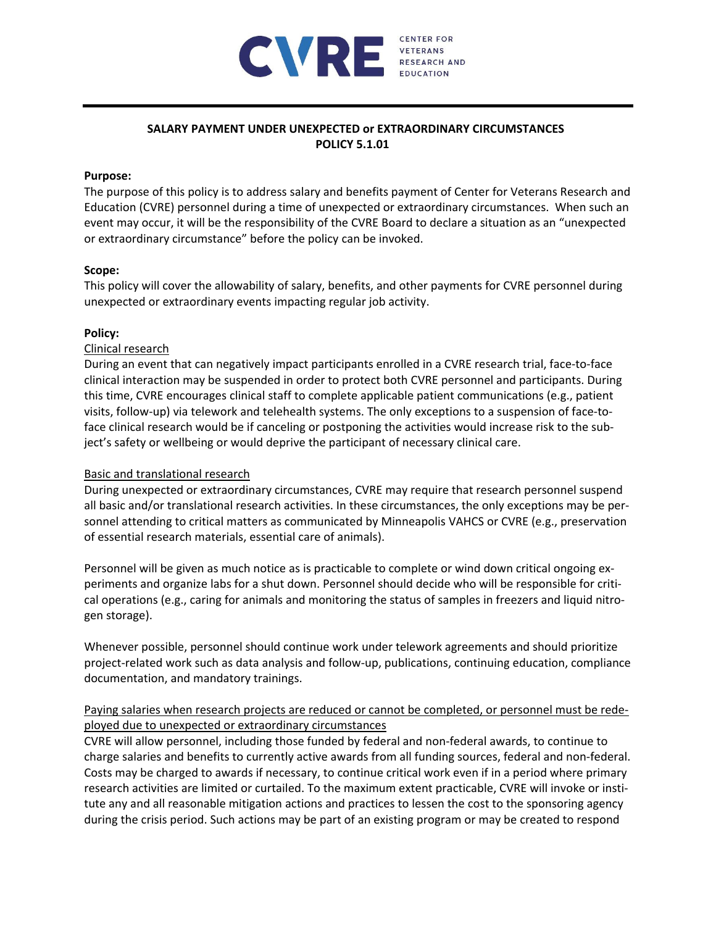

# **SALARY PAYMENT UNDER UNEXPECTED or EXTRAORDINARY CIRCUMSTANCES POLICY 5.1.01**

## **Purpose:**

The purpose of this policy is to address salary and benefits payment of Center for Veterans Research and Education (CVRE) personnel during a time of unexpected or extraordinary circumstances. When such an event may occur, it will be the responsibility of the CVRE Board to declare a situation as an "unexpected or extraordinary circumstance" before the policy can be invoked.

### **Scope:**

This policy will cover the allowability of salary, benefits, and other payments for CVRE personnel during unexpected or extraordinary events impacting regular job activity.

### **Policy:**

## Clinical research

During an event that can negatively impact participants enrolled in a CVRE research trial, face‐to‐face clinical interaction may be suspended in order to protect both CVRE personnel and participants. During this time, CVRE encourages clinical staff to complete applicable patient communications (e.g., patient visits, follow‐up) via telework and telehealth systems. The only exceptions to a suspension of face‐to‐ face clinical research would be if canceling or postponing the activities would increase risk to the sub‐ ject's safety or wellbeing or would deprive the participant of necessary clinical care.

## Basic and translational research

During unexpected or extraordinary circumstances, CVRE may require that research personnel suspend all basic and/or translational research activities. In these circumstances, the only exceptions may be per‐ sonnel attending to critical matters as communicated by Minneapolis VAHCS or CVRE (e.g., preservation of essential research materials, essential care of animals).

Personnel will be given as much notice as is practicable to complete or wind down critical ongoing ex‐ periments and organize labs for a shut down. Personnel should decide who will be responsible for critical operations (e.g., caring for animals and monitoring the status of samples in freezers and liquid nitro‐ gen storage).

Whenever possible, personnel should continue work under telework agreements and should prioritize project-related work such as data analysis and follow-up, publications, continuing education, compliance documentation, and mandatory trainings.

## Paying salaries when research projects are reduced or cannot be completed, or personnel must be rede‐ ployed due to unexpected or extraordinary circumstances

CVRE will allow personnel, including those funded by federal and non‐federal awards, to continue to charge salaries and benefits to currently active awards from all funding sources, federal and non‐federal. Costs may be charged to awards if necessary, to continue critical work even if in a period where primary research activities are limited or curtailed. To the maximum extent practicable, CVRE will invoke or insti‐ tute any and all reasonable mitigation actions and practices to lessen the cost to the sponsoring agency during the crisis period. Such actions may be part of an existing program or may be created to respond